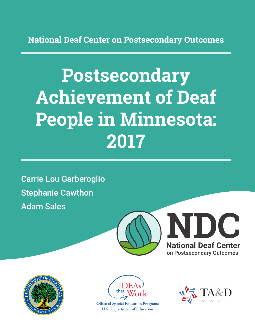**National Deaf Center on Postsecondary Outcomes**

# **Postsecondary Achievement of Deaf People in Minnesota: 2017**

Carrie Lou Garberoglio Stephanie Cawthon Adam Sales







**Office of Special Education Programs U.S. Department of Education** 

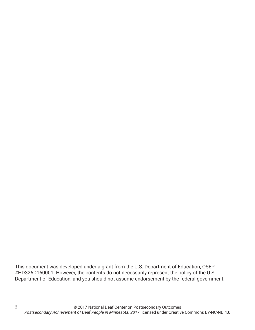This document was developed under a grant from the U.S. Department of Education, OSEP #HD326D160001. However, the contents do not necessarily represent the policy of the U.S. Department of Education, and you should not assume endorsement by the federal government.

2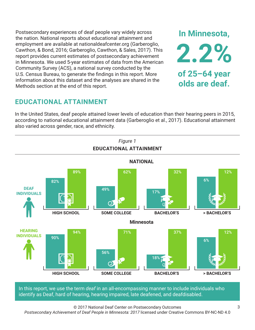Postsecondary experiences of deaf people vary widely across the nation. National reports about educational attainment and employment are available at nationaldeafcenter.org (Garberoglio, Cawthon, & Bond, 2016; Garberoglio, Cawthon, & Sales, 2017). This report provides current estimates of postsecondary achievement in Minnesota. We used 5-year estimates of data from the American Community Survey (ACS), a national survey conducted by the U.S. Census Bureau, to generate the findings in this report. More information about this dataset and the analyses are shared in the Methods section at the end of this report.

# **EDUCATIONAL ATTAINMENT**

In the United States, deaf people attained lower levels of education than their hearing peers in 2015, according to national educational attainment data (Garberoglio et al., 2017). Educational attainment also varied across gender, race, and ethnicity.



In this report, we use the term *deaf* in an all-encompassing manner to include individuals who identify as Deaf, hard of hearing, hearing impaired, late deafened, and deafdisabled.

© 2017 National Deaf Center on Postsecondary Outcomes

*Postsecondary Achievement of Deaf People in Minnesota: 2017* licensed under Creative Commons BY-NC-ND 4.0

**In Minnesota,**

**2.2%**

**of 25–64 year**

**olds are deaf.**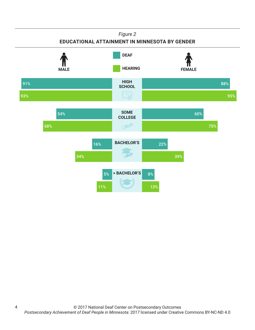### *Figure 2*

## **EDUCATIONAL ATTAINMENT IN MINNESOTA BY GENDER**



4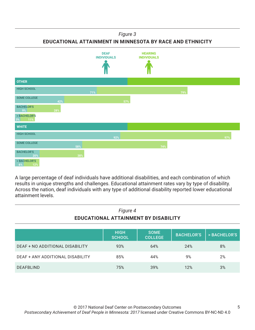#### *Figure 3*

**EDUCATIONAL ATTAINMENT IN MINNESOTA BY RACE AND ETHNICITY**



A large percentage of deaf individuals have additional disabilities, and each combination of which results in unique strengths and challenges. Educational attainment rates vary by type of disability. Across the nation, deaf individuals with any type of additional disability reported lower educational attainment levels.

| Figure 4<br>EDUCATIONAL ATTAINMENT BY DISABILITY |                              |                               |                   |              |
|--------------------------------------------------|------------------------------|-------------------------------|-------------------|--------------|
|                                                  | <b>HIGH</b><br><b>SCHOOL</b> | <b>SOME</b><br><b>COLLEGE</b> | <b>BACHELOR'S</b> | > BACHELOR'S |
| DEAF + NO ADDITIONAL DISABILITY                  | 93%                          | 64%                           | 24%               | 8%           |
| DEAF + ANY ADDITIONAL DISABILITY                 | 85%                          | 44%                           | 9%                | 2%           |
| <b>DEAFBLIND</b>                                 | 75%                          | 39%                           | 12%               | 3%           |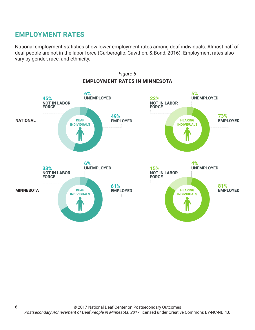# **EMPLOYMENT RATES**

6

National employment statistics show lower employment rates among deaf individuals. Almost half of deaf people are not in the labor force (Garberoglio, Cawthon, & Bond, 2016). Employment rates also vary by gender, race, and ethnicity.

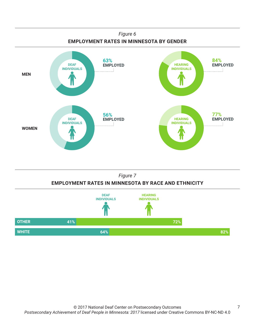

## *Figure 7* **EMPLOYMENT RATES IN MINNESOTA BY RACE AND ETHNICITY**

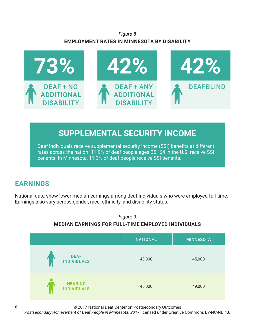## *Figure 8* **EMPLOYMENT RATES IN MINNESOTA BY DISABILITY**



# **SUPPLEMENTAL SECURITY INCOME**

Deaf individuals receive supplemental security income (SSI) benefits at different rates across the nation. 11.9% of deaf people ages 25–64 in the U.S. receive SSI benefits. In Minnesota, 11.3% of deaf people receive SSI benefits.

# **EARNINGS**

National data show lower median earnings among deaf individuals who were employed full time. Earnings also vary across gender, race, ethnicity, and disability status.



© 2017 National Deaf Center on Postsecondary Outcomes

*Postsecondary Achievement of Deaf People in Minnesota: 2017* licensed under Creative Commons BY-NC-ND 4.0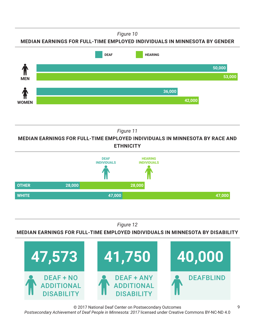*Figure 10*

**MEDIAN EARNINGS FOR FULL-TIME EMPLOYED INDIVIDUALS IN MINNESOTA BY GENDER**



*Figure 11*

**MEDIAN EARNINGS FOR FULL-TIME EMPLOYED INDIVIDUALS IN MINNESOTA BY RACE AND ETHNICITY**



*Figure 12*

**MEDIAN EARNINGS FOR FULL-TIME EMPLOYED INDIVIDUALS IN MINNESOTA BY DISABILITY**



© 2017 National Deaf Center on Postsecondary Outcomes *Postsecondary Achievement of Deaf People in Minnesota: 2017* licensed under Creative Commons BY-NC-ND 4.0